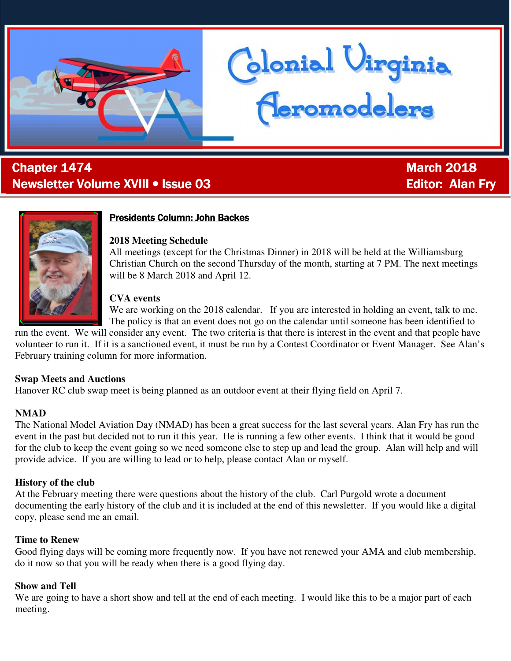

# ī **Chapter 1474** March 2018 Newsletter Volume XVIII • Issue 03 Editor: Alan Fry



## **Presidents Column: John Backes**

#### **2018 Meeting Schedule**

All meetings (except for the Christmas Dinner) in 2018 will be held at the Williamsburg Christian Church on the second Thursday of the month, starting at 7 PM. The next meetings will be 8 March 2018 and April 12.

donial Virginia<br>Ceromodelers

#### **CVA events**

We are working on the 2018 calendar. If you are interested in holding an event, talk to me. The policy is that an event does not go on the calendar until someone has been identified to

run the event. We will consider any event. The two criteria is that there is interest in the event and that people have volunteer to run it. If it is a sanctioned event, it must be run by a Contest Coordinator or Event Manager. See Alan's February training column for more information.

#### **Swap Meets and Auctions**

Hanover RC club swap meet is being planned as an outdoor event at their flying field on April 7.

#### **NMAD**

The National Model Aviation Day (NMAD) has been a great success for the last several years. Alan Fry has run the event in the past but decided not to run it this year. He is running a few other events. I think that it would be good for the club to keep the event going so we need someone else to step up and lead the group. Alan will help and will provide advice. If you are willing to lead or to help, please contact Alan or myself.

#### **History of the club**

At the February meeting there were questions about the history of the club. Carl Purgold wrote a document documenting the early history of the club and it is included at the end of this newsletter. If you would like a digital copy, please send me an email.

#### **Time to Renew**

Good flying days will be coming more frequently now. If you have not renewed your AMA and club membership, do it now so that you will be ready when there is a good flying day.

#### **Show and Tell**

We are going to have a short show and tell at the end of each meeting. I would like this to be a major part of each meeting.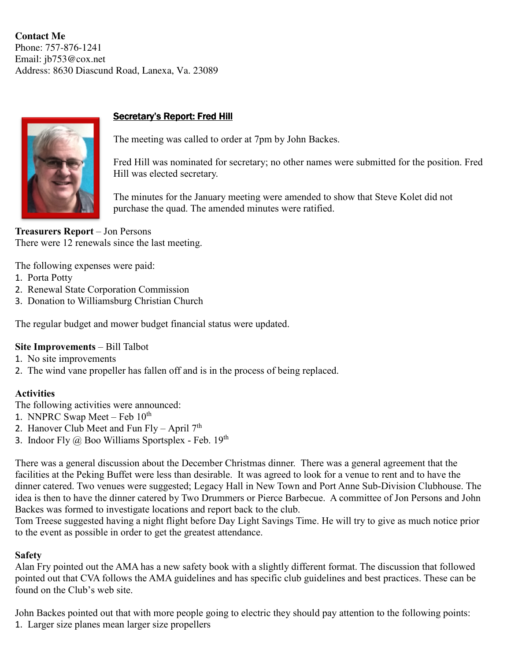**Contact Me**  Phone: 757-876-1241 Email: jb753@cox.net Address: 8630 Diascund Road, Lanexa, Va. 23089



## Secretary's Report: Fred Hill

The meeting was called to order at 7pm by John Backes.

Fred Hill was nominated for secretary; no other names were submitted for the position. Fred Hill was elected secretary.

The minutes for the January meeting were amended to show that Steve Kolet did not purchase the quad. The amended minutes were ratified.

**Treasurers Report** – Jon Persons There were 12 renewals since the last meeting.

The following expenses were paid:

- 1. Porta Potty
- 2. Renewal State Corporation Commission
- 3. Donation to Williamsburg Christian Church

The regular budget and mower budget financial status were updated.

## **Site Improvements** – Bill Talbot

- 1. No site improvements
- 2. The wind vane propeller has fallen off and is in the process of being replaced.

## **Activities**

The following activities were announced:

- 1. NNPRC Swap Meet Feb  $10^{th}$
- 2. Hanover Club Meet and Fun Fly April  $7<sup>th</sup>$
- 3. Indoor Fly  $\omega$  Boo Williams Sportsplex Feb. 19<sup>th</sup>

There was a general discussion about the December Christmas dinner. There was a general agreement that the facilities at the Peking Buffet were less than desirable. It was agreed to look for a venue to rent and to have the dinner catered. Two venues were suggested; Legacy Hall in New Town and Port Anne Sub-Division Clubhouse. The idea is then to have the dinner catered by Two Drummers or Pierce Barbecue. A committee of Jon Persons and John Backes was formed to investigate locations and report back to the club.

Tom Treese suggested having a night flight before Day Light Savings Time. He will try to give as much notice prior to the event as possible in order to get the greatest attendance.

## **Safety**

Alan Fry pointed out the AMA has a new safety book with a slightly different format. The discussion that followed pointed out that CVA follows the AMA guidelines and has specific club guidelines and best practices. These can be found on the Club's web site.

John Backes pointed out that with more people going to electric they should pay attention to the following points: 1. Larger size planes mean larger size propellers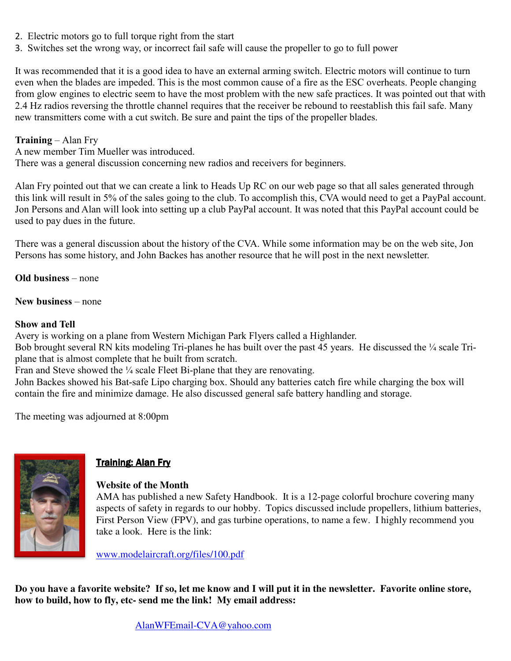- 2. Electric motors go to full torque right from the start
- 3. Switches set the wrong way, or incorrect fail safe will cause the propeller to go to full power

It was recommended that it is a good idea to have an external arming switch. Electric motors will continue to turn even when the blades are impeded. This is the most common cause of a fire as the ESC overheats. People changing from glow engines to electric seem to have the most problem with the new safe practices. It was pointed out that with 2.4 Hz radios reversing the throttle channel requires that the receiver be rebound to reestablish this fail safe. Many new transmitters come with a cut switch. Be sure and paint the tips of the propeller blades.

## **Training** – Alan Fry

A new member Tim Mueller was introduced.

There was a general discussion concerning new radios and receivers for beginners.

Alan Fry pointed out that we can create a link to Heads Up RC on our web page so that all sales generated through this link will result in 5% of the sales going to the club. To accomplish this, CVA would need to get a PayPal account. Jon Persons and Alan will look into setting up a club PayPal account. It was noted that this PayPal account could be used to pay dues in the future.

There was a general discussion about the history of the CVA. While some information may be on the web site, Jon Persons has some history, and John Backes has another resource that he will post in the next newsletter.

**Old business** – none

**New business** – none

## **Show and Tell**

Avery is working on a plane from Western Michigan Park Flyers called a Highlander.

Bob brought several RN kits modeling Tri-planes he has built over the past 45 years. He discussed the ¼ scale Triplane that is almost complete that he built from scratch.

Fran and Steve showed the ¼ scale Fleet Bi-plane that they are renovating.

John Backes showed his Bat-safe Lipo charging box. Should any batteries catch fire while charging the box will contain the fire and minimize damage. He also discussed general safe battery handling and storage.

The meeting was adjourned at 8:00pm



## Training: Alan Fry

## **Website of the Month**

AMA has published a new Safety Handbook. It is a 12-page colorful brochure covering many aspects of safety in regards to our hobby. Topics discussed include propellers, lithium batteries, First Person View (FPV), and gas turbine operations, to name a few. I highly recommend you take a look. Here is the link:

www.modelaircraft.org/files/100.pdf

**Do you have a favorite website? If so, let me know and I will put it in the newsletter. Favorite online store, how to build, how to fly, etc- send me the link! My email address:**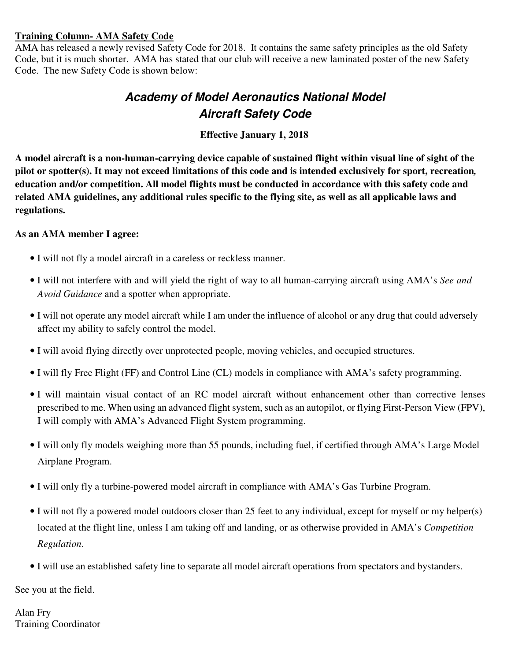#### **Training Column- AMA Safety Code**

AMA has released a newly revised Safety Code for 2018. It contains the same safety principles as the old Safety Code, but it is much shorter. AMA has stated that our club will receive a new laminated poster of the new Safety Code. The new Safety Code is shown below:

# **Academy of Model Aeronautics National Model Aircraft Safety Code**

 **Effective January 1, 2018**

**A model aircraft is a non-human-carrying device capable of sustained flight within visual line of sight of the pilot or spotter(s). It may not exceed limitations of this code and is intended exclusively for sport, recreation***,*  **education and/or competition. All model flights must be conducted in accordance with this safety code and related AMA guidelines, any additional rules specific to the flying site, as well as all applicable laws and regulations.** 

## **As an AMA member I agree:**

- I will not fly a model aircraft in a careless or reckless manner.
- I will not interfere with and will yield the right of way to all human-carrying aircraft using AMA's *See and Avoid Guidance* and a spotter when appropriate.
- I will not operate any model aircraft while I am under the influence of alcohol or any drug that could adversely affect my ability to safely control the model.
- I will avoid flying directly over unprotected people, moving vehicles, and occupied structures.
- I will fly Free Flight (FF) and Control Line (CL) models in compliance with AMA's safety programming.
- I will maintain visual contact of an RC model aircraft without enhancement other than corrective lenses prescribed to me. When using an advanced flight system, such as an autopilot, or flying First-Person View (FPV), I will comply with AMA's Advanced Flight System programming.
- I will only fly models weighing more than 55 pounds, including fuel, if certified through AMA's Large Model Airplane Program.
- I will only fly a turbine-powered model aircraft in compliance with AMA's Gas Turbine Program.
- I will not fly a powered model outdoors closer than 25 feet to any individual, except for myself or my helper(s) located at the flight line, unless I am taking off and landing, or as otherwise provided in AMA's *Competition Regulation*.
- I will use an established safety line to separate all model aircraft operations from spectators and bystanders.

See you at the field.

Alan Fry Training Coordinator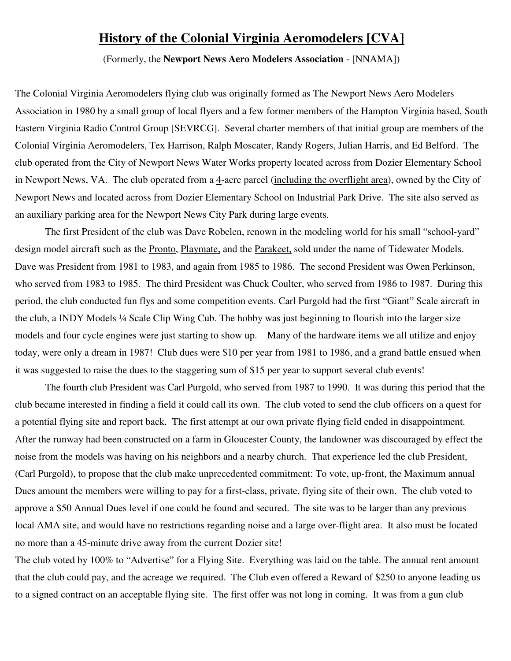# **History of the Colonial Virginia Aeromodelers [CVA]**

(Formerly, the **Newport News Aero Modelers Association** - [NNAMA])

The Colonial Virginia Aeromodelers flying club was originally formed as The Newport News Aero Modelers Association in 1980 by a small group of local flyers and a few former members of the Hampton Virginia based, South Eastern Virginia Radio Control Group [SEVRCG]. Several charter members of that initial group are members of the Colonial Virginia Aeromodelers, Tex Harrison, Ralph Moscater, Randy Rogers, Julian Harris, and Ed Belford. The club operated from the City of Newport News Water Works property located across from Dozier Elementary School in Newport News, VA. The club operated from a 4-acre parcel (including the overflight area), owned by the City of Newport News and located across from Dozier Elementary School on Industrial Park Drive. The site also served as an auxiliary parking area for the Newport News City Park during large events.

The first President of the club was Dave Robelen, renown in the modeling world for his small "school-yard" design model aircraft such as the Pronto, Playmate, and the Parakeet, sold under the name of Tidewater Models. Dave was President from 1981 to 1983, and again from 1985 to 1986. The second President was Owen Perkinson, who served from 1983 to 1985. The third President was Chuck Coulter, who served from 1986 to 1987. During this period, the club conducted fun flys and some competition events. Carl Purgold had the first "Giant" Scale aircraft in the club, a INDY Models ¼ Scale Clip Wing Cub. The hobby was just beginning to flourish into the larger size models and four cycle engines were just starting to show up. Many of the hardware items we all utilize and enjoy today, were only a dream in 1987! Club dues were \$10 per year from 1981 to 1986, and a grand battle ensued when it was suggested to raise the dues to the staggering sum of \$15 per year to support several club events!

The fourth club President was Carl Purgold, who served from 1987 to 1990. It was during this period that the club became interested in finding a field it could call its own. The club voted to send the club officers on a quest for a potential flying site and report back. The first attempt at our own private flying field ended in disappointment. After the runway had been constructed on a farm in Gloucester County, the landowner was discouraged by effect the noise from the models was having on his neighbors and a nearby church. That experience led the club President, (Carl Purgold), to propose that the club make unprecedented commitment: To vote, up-front, the Maximum annual Dues amount the members were willing to pay for a first-class, private, flying site of their own. The club voted to approve a \$50 Annual Dues level if one could be found and secured. The site was to be larger than any previous local AMA site, and would have no restrictions regarding noise and a large over-flight area. It also must be located no more than a 45-minute drive away from the current Dozier site!

The club voted by 100% to "Advertise" for a Flying Site. Everything was laid on the table. The annual rent amount that the club could pay, and the acreage we required. The Club even offered a Reward of \$250 to anyone leading us to a signed contract on an acceptable flying site. The first offer was not long in coming. It was from a gun club